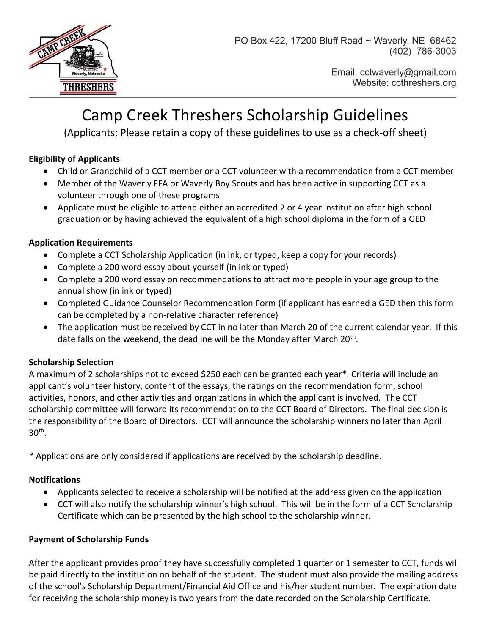

PO Box 422, 17200 Bluff Road ~ Waverly, NE 68462 (402) 786-3003

> Email: cctwaverly@gmail.com Website: ccthreshers.org

# Camp Creek Threshers Scholarship Guidelines

(Applicants: Please retain a copy of these guidelines to use as a check-off sheet)

#### **Eligibility of Applicants**

- Child or Grandchild of a CCT member or a CCT volunteer with a recommendation from a CCT member
- Member of the Waverly FFA or Waverly Boy Scouts and has been active in supporting CCT as a volunteer through one of these programs
- Applicate must be eligible to attend either an accredited 2 or 4 year institution after high school graduation or by having achieved the equivalent of a high school diploma in the form of a GED

#### **Application Requirements**

- Complete a CCT Scholarship Application (in ink, or typed, keep a copy for your records)
- Complete a 200 word essay about yourself (in ink or typed)
- Complete a 200 word essay on recommendations to attract more people in your age group to the annual show (in ink or typed)
- Completed Guidance Counselor Recommendation Form (if applicant has earned a GED then this form can be completed by a non-relative character reference)
- The application must be received by CCT in no later than March 20 of the current calendar year. If this date falls on the weekend, the deadline will be the Monday after March 20<sup>th</sup>.

#### **Scholarship Selection**

A maximum of 2 scholarships not to exceed \$250 each can be granted each year\*. Criteria will include an applicant's volunteer history, content of the essays, the ratings on the recommendation form, school activities, honors, and other activities and organizations in which the applicant is involved. The CCT scholarship committee will forward its recommendation to the CCT Board of Directors. The final decision is the responsibility of the Board of Directors. CCT will announce the scholarship winners no later than April  $30<sup>th</sup>$ .

\* Applications are only considered if applications are received by the scholarship deadline.

#### **Notifications**

- Applicants selected to receive a scholarship will be notified at the address given on the application
- CCT will also notify the scholarship winner's high school. This will be in the form of a CCT Scholarship Certificate which can be presented by the high school to the scholarship winner.

#### **Payment of Scholarship Funds**

After the applicant provides proof they have successfully completed 1 quarter or 1 semester to CCT, funds will be paid directly to the institution on behalf of the student. The student must also provide the mailing address of the school's Scholarship Department/Financial Aid Office and his/her student number. The expiration date for receiving the scholarship money is two years from the date recorded on the Scholarship Certificate.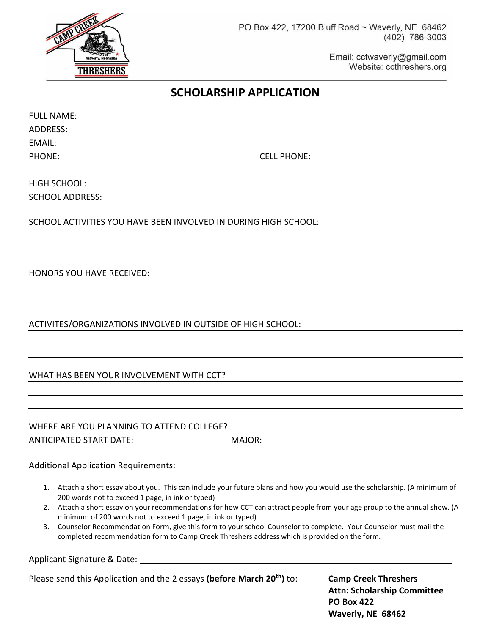

Email: cctwaverly@gmail.com Website: ccthreshers.org

#### **SCHOLARSHIP APPLICATION**

| ADDRESS:<br><u> 1980 - Johann Stein, marwolaethau (b. 1980)</u><br>EMAIL: |                                                                                                                 |                                                                                                                                                                                                                                                                                                                                                                    |                                                                                                                                                                                                                                                                                                                                                                             |  |  |  |  |  |
|---------------------------------------------------------------------------|-----------------------------------------------------------------------------------------------------------------|--------------------------------------------------------------------------------------------------------------------------------------------------------------------------------------------------------------------------------------------------------------------------------------------------------------------------------------------------------------------|-----------------------------------------------------------------------------------------------------------------------------------------------------------------------------------------------------------------------------------------------------------------------------------------------------------------------------------------------------------------------------|--|--|--|--|--|
| <b>PHONE:</b>                                                             |                                                                                                                 | $\begin{picture}(180,10) \put(0,0){\vector(1,0){100}} \put(15,0){\vector(1,0){100}} \put(15,0){\vector(1,0){100}} \put(15,0){\vector(1,0){100}} \put(15,0){\vector(1,0){100}} \put(15,0){\vector(1,0){100}} \put(15,0){\vector(1,0){100}} \put(15,0){\vector(1,0){100}} \put(15,0){\vector(1,0){100}} \put(15,0){\vector(1,0){100}} \put(15,0){\vector(1,0){100}}$ |                                                                                                                                                                                                                                                                                                                                                                             |  |  |  |  |  |
|                                                                           |                                                                                                                 |                                                                                                                                                                                                                                                                                                                                                                    |                                                                                                                                                                                                                                                                                                                                                                             |  |  |  |  |  |
|                                                                           |                                                                                                                 |                                                                                                                                                                                                                                                                                                                                                                    |                                                                                                                                                                                                                                                                                                                                                                             |  |  |  |  |  |
|                                                                           |                                                                                                                 | SCHOOL ACTIVITIES YOU HAVE BEEN INVOLVED IN DURING HIGH SCHOOL:                                                                                                                                                                                                                                                                                                    |                                                                                                                                                                                                                                                                                                                                                                             |  |  |  |  |  |
|                                                                           | <b>HONORS YOU HAVE RECEIVED:</b>                                                                                |                                                                                                                                                                                                                                                                                                                                                                    |                                                                                                                                                                                                                                                                                                                                                                             |  |  |  |  |  |
|                                                                           |                                                                                                                 |                                                                                                                                                                                                                                                                                                                                                                    |                                                                                                                                                                                                                                                                                                                                                                             |  |  |  |  |  |
|                                                                           |                                                                                                                 | ACTIVITES/ORGANIZATIONS INVOLVED IN OUTSIDE OF HIGH SCHOOL:                                                                                                                                                                                                                                                                                                        |                                                                                                                                                                                                                                                                                                                                                                             |  |  |  |  |  |
|                                                                           | WHAT HAS BEEN YOUR INVOLVEMENT WITH CCT?                                                                        |                                                                                                                                                                                                                                                                                                                                                                    |                                                                                                                                                                                                                                                                                                                                                                             |  |  |  |  |  |
|                                                                           |                                                                                                                 |                                                                                                                                                                                                                                                                                                                                                                    |                                                                                                                                                                                                                                                                                                                                                                             |  |  |  |  |  |
|                                                                           | <b>ANTICIPATED START DATE:</b>                                                                                  | MAJOR:                                                                                                                                                                                                                                                                                                                                                             |                                                                                                                                                                                                                                                                                                                                                                             |  |  |  |  |  |
|                                                                           | <b>Additional Application Requirements:</b>                                                                     |                                                                                                                                                                                                                                                                                                                                                                    |                                                                                                                                                                                                                                                                                                                                                                             |  |  |  |  |  |
| 3.                                                                        | 200 words not to exceed 1 page, in ink or typed)<br>minimum of 200 words not to exceed 1 page, in ink or typed) | completed recommendation form to Camp Creek Threshers address which is provided on the form.                                                                                                                                                                                                                                                                       | 1. Attach a short essay about you. This can include your future plans and how you would use the scholarship. (A minimum of<br>2. Attach a short essay on your recommendations for how CCT can attract people from your age group to the annual show. (A<br>Counselor Recommendation Form, give this form to your school Counselor to complete. Your Counselor must mail the |  |  |  |  |  |
|                                                                           |                                                                                                                 | Applicant Signature & Date: Applicant Signature & Date:                                                                                                                                                                                                                                                                                                            |                                                                                                                                                                                                                                                                                                                                                                             |  |  |  |  |  |
|                                                                           |                                                                                                                 | Please send this Application and the 2 essays (before March 20 <sup>th</sup> ) to:                                                                                                                                                                                                                                                                                 | <b>Camp Creek Threshers</b>                                                                                                                                                                                                                                                                                                                                                 |  |  |  |  |  |

**Attn: Scholarship Committee PO Box 422 Waverly, NE 68462**